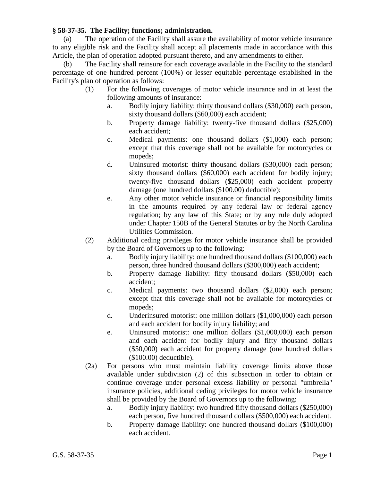## **§ 58-37-35. The Facility; functions; administration.**

(a) The operation of the Facility shall assure the availability of motor vehicle insurance to any eligible risk and the Facility shall accept all placements made in accordance with this Article, the plan of operation adopted pursuant thereto, and any amendments to either.

(b) The Facility shall reinsure for each coverage available in the Facility to the standard percentage of one hundred percent (100%) or lesser equitable percentage established in the Facility's plan of operation as follows:

- (1) For the following coverages of motor vehicle insurance and in at least the following amounts of insurance:
	- a. Bodily injury liability: thirty thousand dollars (\$30,000) each person, sixty thousand dollars (\$60,000) each accident;
	- b. Property damage liability: twenty-five thousand dollars (\$25,000) each accident;
	- c. Medical payments: one thousand dollars (\$1,000) each person; except that this coverage shall not be available for motorcycles or mopeds;
	- d. Uninsured motorist: thirty thousand dollars (\$30,000) each person; sixty thousand dollars (\$60,000) each accident for bodily injury; twenty-five thousand dollars (\$25,000) each accident property damage (one hundred dollars (\$100.00) deductible);
	- e. Any other motor vehicle insurance or financial responsibility limits in the amounts required by any federal law or federal agency regulation; by any law of this State; or by any rule duly adopted under Chapter 150B of the General Statutes or by the North Carolina Utilities Commission.
- (2) Additional ceding privileges for motor vehicle insurance shall be provided by the Board of Governors up to the following:
	- a. Bodily injury liability: one hundred thousand dollars (\$100,000) each person, three hundred thousand dollars (\$300,000) each accident;
	- b. Property damage liability: fifty thousand dollars (\$50,000) each accident;
	- c. Medical payments: two thousand dollars (\$2,000) each person; except that this coverage shall not be available for motorcycles or mopeds;
	- d. Underinsured motorist: one million dollars (\$1,000,000) each person and each accident for bodily injury liability; and
	- e. Uninsured motorist: one million dollars (\$1,000,000) each person and each accident for bodily injury and fifty thousand dollars (\$50,000) each accident for property damage (one hundred dollars (\$100.00) deductible).
- (2a) For persons who must maintain liability coverage limits above those available under subdivision (2) of this subsection in order to obtain or continue coverage under personal excess liability or personal "umbrella" insurance policies, additional ceding privileges for motor vehicle insurance shall be provided by the Board of Governors up to the following:
	- a. Bodily injury liability: two hundred fifty thousand dollars (\$250,000) each person, five hundred thousand dollars (\$500,000) each accident.
	- b. Property damage liability: one hundred thousand dollars (\$100,000) each accident.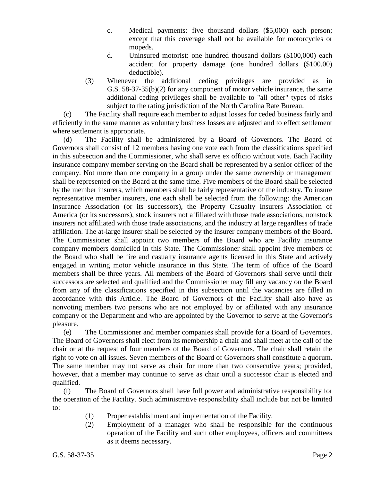- c. Medical payments: five thousand dollars (\$5,000) each person; except that this coverage shall not be available for motorcycles or mopeds.
- d. Uninsured motorist: one hundred thousand dollars (\$100,000) each accident for property damage (one hundred dollars (\$100.00) deductible).
- (3) Whenever the additional ceding privileges are provided as in G.S. 58-37-35(b)(2) for any component of motor vehicle insurance, the same additional ceding privileges shall be available to "all other" types of risks subject to the rating jurisdiction of the North Carolina Rate Bureau.

(c) The Facility shall require each member to adjust losses for ceded business fairly and efficiently in the same manner as voluntary business losses are adjusted and to effect settlement where settlement is appropriate.

(d) The Facility shall be administered by a Board of Governors. The Board of Governors shall consist of 12 members having one vote each from the classifications specified in this subsection and the Commissioner, who shall serve ex officio without vote. Each Facility insurance company member serving on the Board shall be represented by a senior officer of the company. Not more than one company in a group under the same ownership or management shall be represented on the Board at the same time. Five members of the Board shall be selected by the member insurers, which members shall be fairly representative of the industry. To insure representative member insurers, one each shall be selected from the following: the American Insurance Association (or its successors), the Property Casualty Insurers Association of America (or its successors), stock insurers not affiliated with those trade associations, nonstock insurers not affiliated with those trade associations, and the industry at large regardless of trade affiliation. The at-large insurer shall be selected by the insurer company members of the Board. The Commissioner shall appoint two members of the Board who are Facility insurance company members domiciled in this State. The Commissioner shall appoint five members of the Board who shall be fire and casualty insurance agents licensed in this State and actively engaged in writing motor vehicle insurance in this State. The term of office of the Board members shall be three years. All members of the Board of Governors shall serve until their successors are selected and qualified and the Commissioner may fill any vacancy on the Board from any of the classifications specified in this subsection until the vacancies are filled in accordance with this Article. The Board of Governors of the Facility shall also have as nonvoting members two persons who are not employed by or affiliated with any insurance company or the Department and who are appointed by the Governor to serve at the Governor's pleasure.

(e) The Commissioner and member companies shall provide for a Board of Governors. The Board of Governors shall elect from its membership a chair and shall meet at the call of the chair or at the request of four members of the Board of Governors. The chair shall retain the right to vote on all issues. Seven members of the Board of Governors shall constitute a quorum. The same member may not serve as chair for more than two consecutive years; provided, however, that a member may continue to serve as chair until a successor chair is elected and qualified.

(f) The Board of Governors shall have full power and administrative responsibility for the operation of the Facility. Such administrative responsibility shall include but not be limited to:

- (1) Proper establishment and implementation of the Facility.
- (2) Employment of a manager who shall be responsible for the continuous operation of the Facility and such other employees, officers and committees as it deems necessary.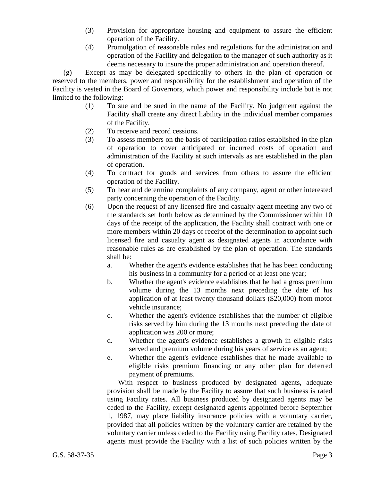- (3) Provision for appropriate housing and equipment to assure the efficient operation of the Facility.
- (4) Promulgation of reasonable rules and regulations for the administration and operation of the Facility and delegation to the manager of such authority as it deems necessary to insure the proper administration and operation thereof.

(g) Except as may be delegated specifically to others in the plan of operation or reserved to the members, power and responsibility for the establishment and operation of the Facility is vested in the Board of Governors, which power and responsibility include but is not limited to the following:

- (1) To sue and be sued in the name of the Facility. No judgment against the Facility shall create any direct liability in the individual member companies of the Facility.
- (2) To receive and record cessions.
- (3) To assess members on the basis of participation ratios established in the plan of operation to cover anticipated or incurred costs of operation and administration of the Facility at such intervals as are established in the plan of operation.
- (4) To contract for goods and services from others to assure the efficient operation of the Facility.
- (5) To hear and determine complaints of any company, agent or other interested party concerning the operation of the Facility.
- (6) Upon the request of any licensed fire and casualty agent meeting any two of the standards set forth below as determined by the Commissioner within 10 days of the receipt of the application, the Facility shall contract with one or more members within 20 days of receipt of the determination to appoint such licensed fire and casualty agent as designated agents in accordance with reasonable rules as are established by the plan of operation. The standards shall be:
	- a. Whether the agent's evidence establishes that he has been conducting his business in a community for a period of at least one year;
	- b. Whether the agent's evidence establishes that he had a gross premium volume during the 13 months next preceding the date of his application of at least twenty thousand dollars (\$20,000) from motor vehicle insurance;
	- c. Whether the agent's evidence establishes that the number of eligible risks served by him during the 13 months next preceding the date of application was 200 or more;
	- d. Whether the agent's evidence establishes a growth in eligible risks served and premium volume during his years of service as an agent;
	- e. Whether the agent's evidence establishes that he made available to eligible risks premium financing or any other plan for deferred payment of premiums.

With respect to business produced by designated agents, adequate provision shall be made by the Facility to assure that such business is rated using Facility rates. All business produced by designated agents may be ceded to the Facility, except designated agents appointed before September 1, 1987, may place liability insurance policies with a voluntary carrier, provided that all policies written by the voluntary carrier are retained by the voluntary carrier unless ceded to the Facility using Facility rates. Designated agents must provide the Facility with a list of such policies written by the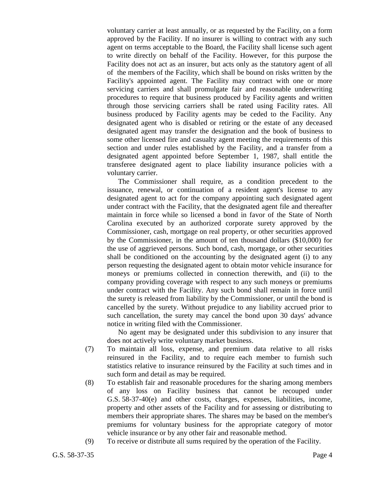voluntary carrier at least annually, or as requested by the Facility, on a form approved by the Facility. If no insurer is willing to contract with any such agent on terms acceptable to the Board, the Facility shall license such agent to write directly on behalf of the Facility. However, for this purpose the Facility does not act as an insurer, but acts only as the statutory agent of all of the members of the Facility, which shall be bound on risks written by the Facility's appointed agent. The Facility may contract with one or more servicing carriers and shall promulgate fair and reasonable underwriting procedures to require that business produced by Facility agents and written through those servicing carriers shall be rated using Facility rates. All business produced by Facility agents may be ceded to the Facility. Any designated agent who is disabled or retiring or the estate of any deceased designated agent may transfer the designation and the book of business to some other licensed fire and casualty agent meeting the requirements of this section and under rules established by the Facility, and a transfer from a designated agent appointed before September 1, 1987, shall entitle the transferee designated agent to place liability insurance policies with a voluntary carrier.

The Commissioner shall require, as a condition precedent to the issuance, renewal, or continuation of a resident agent's license to any designated agent to act for the company appointing such designated agent under contract with the Facility, that the designated agent file and thereafter maintain in force while so licensed a bond in favor of the State of North Carolina executed by an authorized corporate surety approved by the Commissioner, cash, mortgage on real property, or other securities approved by the Commissioner, in the amount of ten thousand dollars (\$10,000) for the use of aggrieved persons. Such bond, cash, mortgage, or other securities shall be conditioned on the accounting by the designated agent (i) to any person requesting the designated agent to obtain motor vehicle insurance for moneys or premiums collected in connection therewith, and (ii) to the company providing coverage with respect to any such moneys or premiums under contract with the Facility. Any such bond shall remain in force until the surety is released from liability by the Commissioner, or until the bond is cancelled by the surety. Without prejudice to any liability accrued prior to such cancellation, the surety may cancel the bond upon 30 days' advance notice in writing filed with the Commissioner.

No agent may be designated under this subdivision to any insurer that does not actively write voluntary market business.

- (7) To maintain all loss, expense, and premium data relative to all risks reinsured in the Facility, and to require each member to furnish such statistics relative to insurance reinsured by the Facility at such times and in such form and detail as may be required.
- (8) To establish fair and reasonable procedures for the sharing among members of any loss on Facility business that cannot be recouped under G.S. 58-37-40(e) and other costs, charges, expenses, liabilities, income, property and other assets of the Facility and for assessing or distributing to members their appropriate shares. The shares may be based on the member's premiums for voluntary business for the appropriate category of motor vehicle insurance or by any other fair and reasonable method.
- (9) To receive or distribute all sums required by the operation of the Facility.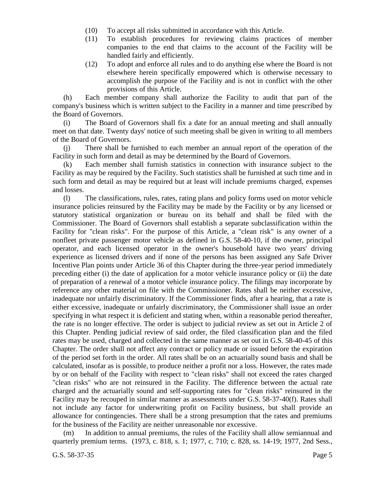- (10) To accept all risks submitted in accordance with this Article.
- (11) To establish procedures for reviewing claims practices of member companies to the end that claims to the account of the Facility will be handled fairly and efficiently.
- (12) To adopt and enforce all rules and to do anything else where the Board is not elsewhere herein specifically empowered which is otherwise necessary to accomplish the purpose of the Facility and is not in conflict with the other provisions of this Article.

(h) Each member company shall authorize the Facility to audit that part of the company's business which is written subject to the Facility in a manner and time prescribed by the Board of Governors.

(i) The Board of Governors shall fix a date for an annual meeting and shall annually meet on that date. Twenty days' notice of such meeting shall be given in writing to all members of the Board of Governors.

(j) There shall be furnished to each member an annual report of the operation of the Facility in such form and detail as may be determined by the Board of Governors.

(k) Each member shall furnish statistics in connection with insurance subject to the Facility as may be required by the Facility. Such statistics shall be furnished at such time and in such form and detail as may be required but at least will include premiums charged, expenses and losses.

(l) The classifications, rules, rates, rating plans and policy forms used on motor vehicle insurance policies reinsured by the Facility may be made by the Facility or by any licensed or statutory statistical organization or bureau on its behalf and shall be filed with the Commissioner. The Board of Governors shall establish a separate subclassification within the Facility for "clean risks". For the purpose of this Article, a "clean risk" is any owner of a nonfleet private passenger motor vehicle as defined in G.S. 58-40-10, if the owner, principal operator, and each licensed operator in the owner's household have two years' driving experience as licensed drivers and if none of the persons has been assigned any Safe Driver Incentive Plan points under Article 36 of this Chapter during the three-year period immediately preceding either (i) the date of application for a motor vehicle insurance policy or (ii) the date of preparation of a renewal of a motor vehicle insurance policy. The filings may incorporate by reference any other material on file with the Commissioner. Rates shall be neither excessive, inadequate nor unfairly discriminatory. If the Commissioner finds, after a hearing, that a rate is either excessive, inadequate or unfairly discriminatory, the Commissioner shall issue an order specifying in what respect it is deficient and stating when, within a reasonable period thereafter, the rate is no longer effective. The order is subject to judicial review as set out in Article 2 of this Chapter. Pending judicial review of said order, the filed classification plan and the filed rates may be used, charged and collected in the same manner as set out in G.S. 58-40-45 of this Chapter. The order shall not affect any contract or policy made or issued before the expiration of the period set forth in the order. All rates shall be on an actuarially sound basis and shall be calculated, insofar as is possible, to produce neither a profit nor a loss. However, the rates made by or on behalf of the Facility with respect to "clean risks" shall not exceed the rates charged "clean risks" who are not reinsured in the Facility. The difference between the actual rate charged and the actuarially sound and self-supporting rates for "clean risks" reinsured in the Facility may be recouped in similar manner as assessments under G.S. 58-37-40(f). Rates shall not include any factor for underwriting profit on Facility business, but shall provide an allowance for contingencies. There shall be a strong presumption that the rates and premiums for the business of the Facility are neither unreasonable nor excessive.

(m) In addition to annual premiums, the rules of the Facility shall allow semiannual and quarterly premium terms. (1973, c. 818, s. 1; 1977, c. 710; c. 828, ss. 14-19; 1977, 2nd Sess.,